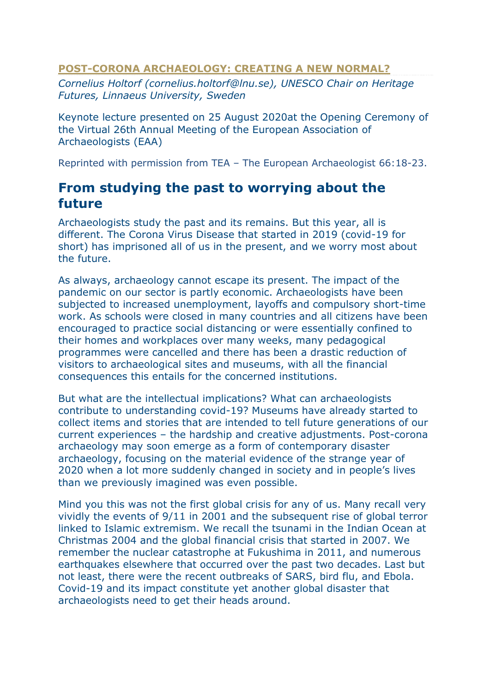### **POST-CORONA ARCHAEOLOGY: CREATING A NEW NORMAL?**

*Cornelius Holtorf (cornelius.holtorf@lnu.se), UNESCO Chair on Heritage Futures, Linnaeus University, Sweden*

Keynote lecture presented on 25 August 2020at the Opening Ceremony of the Virtual 26th Annual Meeting of the European Association of Archaeologists (EAA)

Reprinted with permission from TEA – The European Archaeologist 66:18-23.

## **From studying the past to worrying about the future**

Archaeologists study the past and its remains. But this year, all is different. The Corona Virus Disease that started in 2019 (covid-19 for short) has imprisoned all of us in the present, and we worry most about the future.

As always, archaeology cannot escape its present. The impact of the pandemic on our sector is partly economic. Archaeologists have been subjected to increased unemployment, layoffs and compulsory short-time work. As schools were closed in many countries and all citizens have been encouraged to practice social distancing or were essentially confined to their homes and workplaces over many weeks, many pedagogical programmes were cancelled and there has been a drastic reduction of visitors to archaeological sites and museums, with all the financial consequences this entails for the concerned institutions.

But what are the intellectual implications? What can archaeologists contribute to understanding covid-19? Museums have already started to collect items and stories that are intended to tell future generations of our current experiences – the hardship and creative adjustments. Post-corona archaeology may soon emerge as a form of contemporary disaster archaeology, focusing on the material evidence of the strange year of 2020 when a lot more suddenly changed in society and in people's lives than we previously imagined was even possible.

Mind you this was not the first global crisis for any of us. Many recall very vividly the events of 9/11 in 2001 and the subsequent rise of global terror linked to Islamic extremism. We recall the tsunami in the Indian Ocean at Christmas 2004 and the global financial crisis that started in 2007. We remember the nuclear catastrophe at Fukushima in 2011, and numerous earthquakes elsewhere that occurred over the past two decades. Last but not least, there were the recent outbreaks of SARS, bird flu, and Ebola. Covid-19 and its impact constitute yet another global disaster that archaeologists need to get their heads around.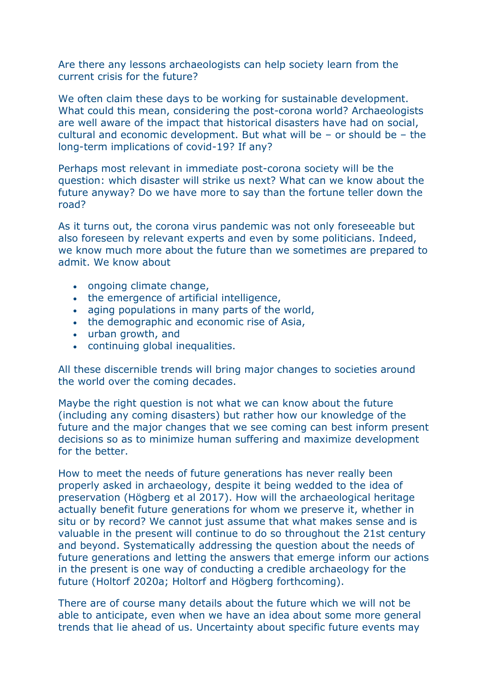Are there any lessons archaeologists can help society learn from the current crisis for the future?

We often claim these days to be working for sustainable development. What could this mean, considering the post-corona world? Archaeologists are well aware of the impact that historical disasters have had on social, cultural and economic development. But what will be – or should be – the long-term implications of covid-19? If any?

Perhaps most relevant in immediate post-corona society will be the question: which disaster will strike us next? What can we know about the future anyway? Do we have more to say than the fortune teller down the road?

As it turns out, the corona virus pandemic was not only foreseeable but also foreseen by relevant experts and even by some politicians. Indeed, we know much more about the future than we sometimes are prepared to admit. We know about

- ongoing climate change,
- the emergence of artificial intelligence,
- aging populations in many parts of the world,
- the demographic and economic rise of Asia,
- urban growth, and
- continuing global inequalities.

All these discernible trends will bring major changes to societies around the world over the coming decades.

Maybe the right question is not what we can know about the future (including any coming disasters) but rather how our knowledge of the future and the major changes that we see coming can best inform present decisions so as to minimize human suffering and maximize development for the better.

How to meet the needs of future generations has never really been properly asked in archaeology, despite it being wedded to the idea of preservation (Högberg et al 2017). How will the archaeological heritage actually benefit future generations for whom we preserve it, whether in situ or by record? We cannot just assume that what makes sense and is valuable in the present will continue to do so throughout the 21st century and beyond. Systematically addressing the question about the needs of future generations and letting the answers that emerge inform our actions in the present is one way of conducting a credible archaeology for the future (Holtorf 2020a; Holtorf and Högberg forthcoming).

There are of course many details about the future which we will not be able to anticipate, even when we have an idea about some more general trends that lie ahead of us. Uncertainty about specific future events may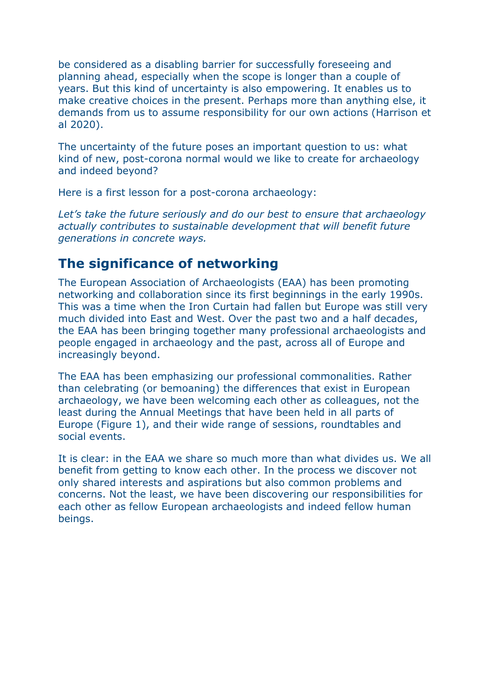be considered as a disabling barrier for successfully foreseeing and planning ahead, especially when the scope is longer than a couple of years. But this kind of uncertainty is also empowering. It enables us to make creative choices in the present. Perhaps more than anything else, it demands from us to assume responsibility for our own actions (Harrison et al 2020).

The uncertainty of the future poses an important question to us: what kind of new, post-corona normal would we like to create for archaeology and indeed beyond?

Here is a first lesson for a post-corona archaeology:

*Let's take the future seriously and do our best to ensure that archaeology actually contributes to sustainable development that will benefit future generations in concrete ways.*

## **The significance of networking**

The European Association of Archaeologists (EAA) has been promoting networking and collaboration since its first beginnings in the early 1990s. This was a time when the Iron Curtain had fallen but Europe was still very much divided into East and West. Over the past two and a half decades, the EAA has been bringing together many professional archaeologists and people engaged in archaeology and the past, across all of Europe and increasingly beyond.

The EAA has been emphasizing our professional commonalities. Rather than celebrating (or bemoaning) the differences that exist in European archaeology, we have been welcoming each other as colleagues, not the least during the Annual Meetings that have been held in all parts of Europe (Figure 1), and their wide range of sessions, roundtables and social events.

It is clear: in the EAA we share so much more than what divides us. We all benefit from getting to know each other. In the process we discover not only shared interests and aspirations but also common problems and concerns. Not the least, we have been discovering our responsibilities for each other as fellow European archaeologists and indeed fellow human beings.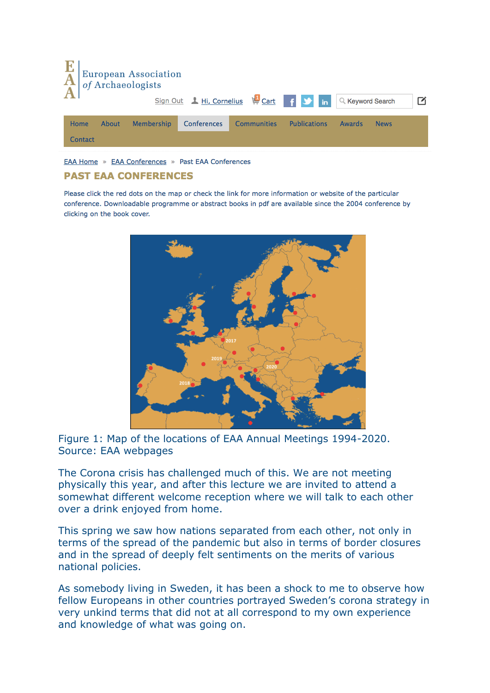| $\frac{\mathbf{E}}{\mathbf{A}}$ |       | <b>European Association</b><br>of Archaeologists |             |                                     |                     |                  |             |   |
|---------------------------------|-------|--------------------------------------------------|-------------|-------------------------------------|---------------------|------------------|-------------|---|
|                                 |       |                                                  |             | Sign Out 1 Hi, Cornelius 4 Cart 1 1 |                     | Q Keyword Search |             | М |
| Home                            | About | <b>Membership</b>                                | Conferences | <b>Communities</b>                  | <b>Publications</b> | Awards           | <b>News</b> |   |
| Contact                         |       |                                                  |             |                                     |                     |                  |             |   |

EAA Home » EAA Conferences » Past EAA Conferences

#### **PAST EAA CONFERENCES**

Please click the red dots on the map or check the link for more information or website of the particular conference. Downloadable programme or abstract books in pdf are available since the 2004 conference by clicking on the book cover.



Figure 1: Map of the locations of EAA Annual Meetings 1994-2020. Source: EAA webpages

The Corona crisis has challenged much of this. We are not meeting physically this year, and after this lecture we are invited to attend a somewhat different welcome reception where we will talk to each other over a drink enjoyed from home.

This spring we saw how nations separated from each other, not only in terms of the spread of the pandemic but also in terms of border closures and in the spread of deeply felt sentiments on the merits of various national policies.

As somebody living in Sweden, it has been a shock to me to observe how fellow Europeans in other countries portrayed Sweden's corona strategy in very unkind terms that did not at all correspond to my own experience and knowledge of what was going on.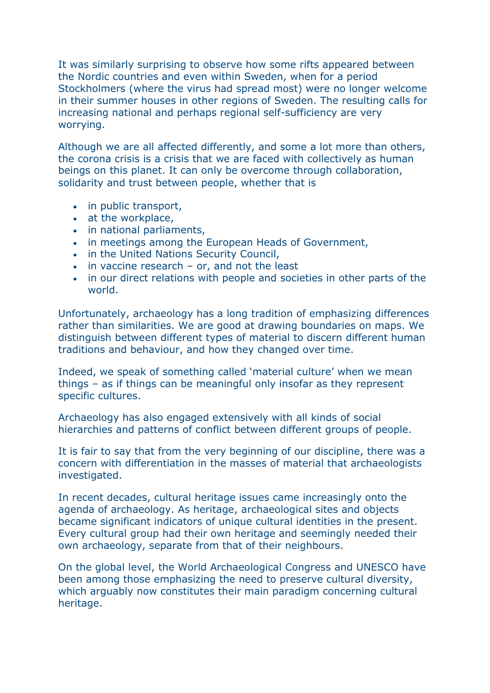It was similarly surprising to observe how some rifts appeared between the Nordic countries and even within Sweden, when for a period Stockholmers (where the virus had spread most) were no longer welcome in their summer houses in other regions of Sweden. The resulting calls for increasing national and perhaps regional self-sufficiency are very worrying.

Although we are all affected differently, and some a lot more than others, the corona crisis is a crisis that we are faced with collectively as human beings on this planet. It can only be overcome through collaboration, solidarity and trust between people, whether that is

- in public transport,
- at the workplace,
- in national parliaments,
- in meetings among the European Heads of Government,
- in the United Nations Security Council,
- in vaccine research or, and not the least
- in our direct relations with people and societies in other parts of the world.

Unfortunately, archaeology has a long tradition of emphasizing differences rather than similarities. We are good at drawing boundaries on maps. We distinguish between different types of material to discern different human traditions and behaviour, and how they changed over time.

Indeed, we speak of something called 'material culture' when we mean things – as if things can be meaningful only insofar as they represent specific cultures.

Archaeology has also engaged extensively with all kinds of social hierarchies and patterns of conflict between different groups of people.

It is fair to say that from the very beginning of our discipline, there was a concern with differentiation in the masses of material that archaeologists investigated.

In recent decades, cultural heritage issues came increasingly onto the agenda of archaeology. As heritage, archaeological sites and objects became significant indicators of unique cultural identities in the present. Every cultural group had their own heritage and seemingly needed their own archaeology, separate from that of their neighbours.

On the global level, the World Archaeological Congress and UNESCO have been among those emphasizing the need to preserve cultural diversity, which arguably now constitutes their main paradigm concerning cultural heritage.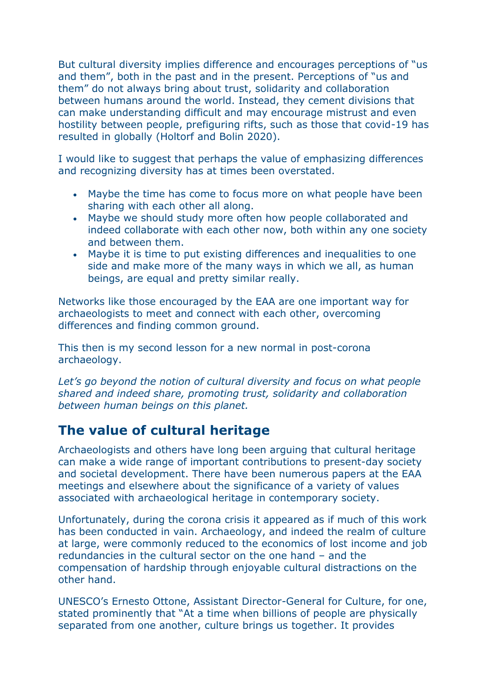But cultural diversity implies difference and encourages perceptions of "us and them", both in the past and in the present. Perceptions of "us and them" do not always bring about trust, solidarity and collaboration between humans around the world. Instead, they cement divisions that can make understanding difficult and may encourage mistrust and even hostility between people, prefiguring rifts, such as those that covid-19 has resulted in globally (Holtorf and Bolin 2020).

I would like to suggest that perhaps the value of emphasizing differences and recognizing diversity has at times been overstated.

- Maybe the time has come to focus more on what people have been sharing with each other all along.
- Maybe we should study more often how people collaborated and indeed collaborate with each other now, both within any one society and between them.
- Maybe it is time to put existing differences and inequalities to one side and make more of the many ways in which we all, as human beings, are equal and pretty similar really.

Networks like those encouraged by the EAA are one important way for archaeologists to meet and connect with each other, overcoming differences and finding common ground.

This then is my second lesson for a new normal in post-corona archaeology.

Let's go beyond the notion of cultural diversity and focus on what people *shared and indeed share, promoting trust, solidarity and collaboration between human beings on this planet.*

# **The value of cultural heritage**

Archaeologists and others have long been arguing that cultural heritage can make a wide range of important contributions to present-day society and societal development. There have been numerous papers at the EAA meetings and elsewhere about the significance of a variety of values associated with archaeological heritage in contemporary society.

Unfortunately, during the corona crisis it appeared as if much of this work has been conducted in vain. Archaeology, and indeed the realm of culture at large, were commonly reduced to the economics of lost income and job redundancies in the cultural sector on the one hand – and the compensation of hardship through enjoyable cultural distractions on the other hand.

UNESCO's Ernesto Ottone, Assistant Director-General for Culture, for one, stated prominently that "At a time when billions of people are physically separated from one another, culture brings us together. It provides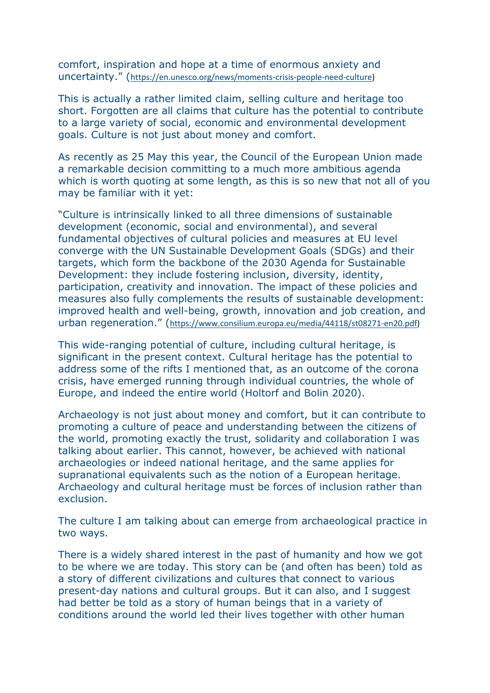comfort, inspiration and hope at a time of enormous anxiety and uncertainty." ([https://en.unesco.org/news/moments-crisis-people-need-culture\)](https://en.unesco.org/news/moments-crisis-people-need-culture)

This is actually a rather limited claim, selling culture and heritage too short. Forgotten are all claims that culture has the potential to contribute to a large variety of social, economic and environmental development goals. Culture is not just about money and comfort.

As recently as 25 May this year, the Council of the European Union made a remarkable decision committing to a much more ambitious agenda which is worth quoting at some length, as this is so new that not all of you may be familiar with it yet:

"Culture is intrinsically linked to all three dimensions of sustainable development (economic, social and environmental), and several fundamental objectives of cultural policies and measures at EU level converge with the UN Sustainable Development Goals (SDGs) and their targets, which form the backbone of the 2030 Agenda for Sustainable Development: they include fostering inclusion, diversity, identity, participation, creativity and innovation. The impact of these policies and measures also fully complements the results of sustainable development: improved health and well-being, growth, innovation and job creation, and urban regeneration." ([https://www.consilium.europa.eu/media/44118/st08271-en20.pdf\)](https://www.consilium.europa.eu/media/44118/st08271-en20.pdf)

This wide-ranging potential of culture, including cultural heritage, is significant in the present context. Cultural heritage has the potential to address some of the rifts I mentioned that, as an outcome of the corona crisis, have emerged running through individual countries, the whole of Europe, and indeed the entire world (Holtorf and Bolin 2020).

Archaeology is not just about money and comfort, but it can contribute to promoting a culture of peace and understanding between the citizens of the world, promoting exactly the trust, solidarity and collaboration I was talking about earlier. This cannot, however, be achieved with national archaeologies or indeed national heritage, and the same applies for supranational equivalents such as the notion of a European heritage. Archaeology and cultural heritage must be forces of inclusion rather than exclusion.

The culture I am talking about can emerge from archaeological practice in two ways.

There is a widely shared interest in the past of humanity and how we got to be where we are today. This story can be (and often has been) told as a story of different civilizations and cultures that connect to various present-day nations and cultural groups. But it can also, and I suggest had better be told as a story of human beings that in a variety of conditions around the world led their lives together with other human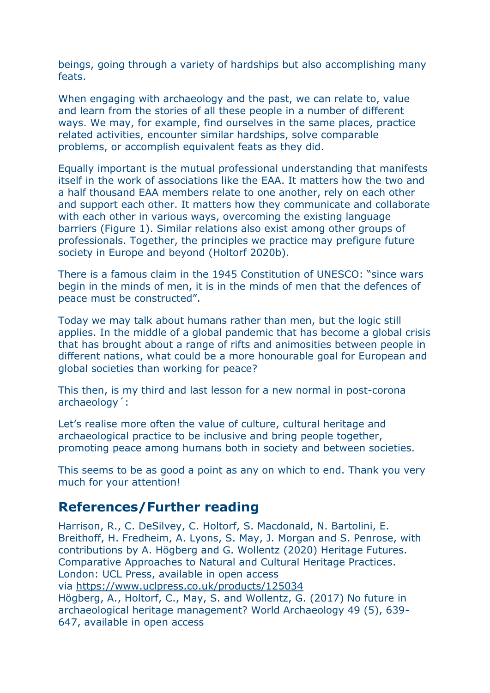beings, going through a variety of hardships but also accomplishing many feats.

When engaging with archaeology and the past, we can relate to, value and learn from the stories of all these people in a number of different ways. We may, for example, find ourselves in the same places, practice related activities, encounter similar hardships, solve comparable problems, or accomplish equivalent feats as they did.

Equally important is the mutual professional understanding that manifests itself in the work of associations like the EAA. It matters how the two and a half thousand EAA members relate to one another, rely on each other and support each other. It matters how they communicate and collaborate with each other in various ways, overcoming the existing language barriers (Figure 1). Similar relations also exist among other groups of professionals. Together, the principles we practice may prefigure future society in Europe and beyond (Holtorf 2020b).

There is a famous claim in the 1945 Constitution of UNESCO: "since wars begin in the minds of men, it is in the minds of men that the defences of peace must be constructed".

Today we may talk about humans rather than men, but the logic still applies. In the middle of a global pandemic that has become a global crisis that has brought about a range of rifts and animosities between people in different nations, what could be a more honourable goal for European and global societies than working for peace?

This then, is my third and last lesson for a new normal in post-corona archaeology´:

Let's realise more often the value of culture, cultural heritage and archaeological practice to be inclusive and bring people together, promoting peace among humans both in society and between societies.

This seems to be as good a point as any on which to end. Thank you very much for your attention!

### **References/Further reading**

Harrison, R., C. DeSilvey, C. Holtorf, S. Macdonald, N. Bartolini, E. Breithoff, H. Fredheim, A. Lyons, S. May, J. Morgan and S. Penrose, with contributions by A. Högberg and G. Wollentz (2020) Heritage Futures. Comparative Approaches to Natural and Cultural Heritage Practices. London: UCL Press, available in open access via <https://www.uclpress.co.uk/products/125034> Högberg, A., Holtorf, C., May, S. and Wollentz, G. (2017) No future in archaeological heritage management? World Archaeology 49 (5), 639- 647, available in open access